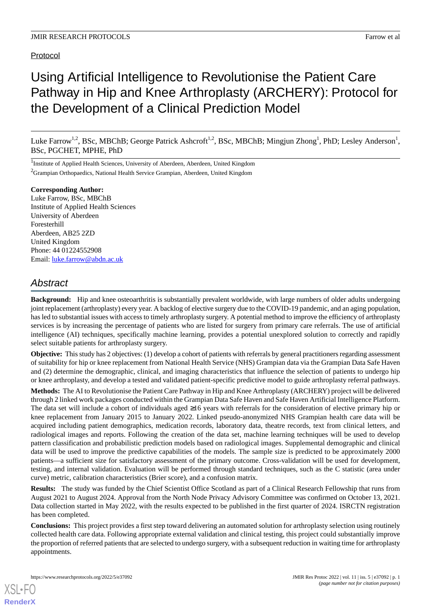# **Protocol**

# Using Artificial Intelligence to Revolutionise the Patient Care Pathway in Hip and Knee Arthroplasty (ARCHERY): Protocol for the Development of a Clinical Prediction Model

Luke Farrow<sup>1,2</sup>, BSc, MBChB; George Patrick Ashcroft<sup>1,2</sup>, BSc, MBChB; Mingjun Zhong<sup>1</sup>, PhD; Lesley Anderson<sup>1</sup>, BSc, PGCHET, MPHE, PhD

<sup>1</sup>Institute of Applied Health Sciences, University of Aberdeen, Aberdeen, United Kingdom  ${}^{2}$ Grampian Orthopaedics, National Health Service Grampian, Aberdeen, United Kingdom

#### **Corresponding Author:**

Luke Farrow, BSc, MBChB Institute of Applied Health Sciences University of Aberdeen Foresterhill Aberdeen, AB25 2ZD United Kingdom Phone: 44 01224552908 Email: [luke.farrow@abdn.ac.uk](mailto:luke.farrow@abdn.ac.uk)

# *Abstract*

**Background:** Hip and knee osteoarthritis is substantially prevalent worldwide, with large numbers of older adults undergoing joint replacement (arthroplasty) every year. A backlog of elective surgery due to the COVID-19 pandemic, and an aging population, has led to substantial issues with access to timely arthroplasty surgery. A potential method to improve the efficiency of arthroplasty services is by increasing the percentage of patients who are listed for surgery from primary care referrals. The use of artificial intelligence (AI) techniques, specifically machine learning, provides a potential unexplored solution to correctly and rapidly select suitable patients for arthroplasty surgery.

**Objective:** This study has 2 objectives: (1) develop a cohort of patients with referrals by general practitioners regarding assessment of suitability for hip or knee replacement from National Health Service (NHS) Grampian data via the Grampian Data Safe Haven and (2) determine the demographic, clinical, and imaging characteristics that influence the selection of patients to undergo hip or knee arthroplasty, and develop a tested and validated patient-specific predictive model to guide arthroplasty referral pathways.

**Methods:** The AI to Revolutionise the Patient Care Pathway in Hip and Knee Arthroplasty (ARCHERY) project will be delivered through 2 linked work packages conducted within the Grampian Data Safe Haven and Safe Haven Artificial Intelligence Platform. The data set will include a cohort of individuals aged ≥16 years with referrals for the consideration of elective primary hip or knee replacement from January 2015 to January 2022. Linked pseudo-anonymized NHS Grampian health care data will be acquired including patient demographics, medication records, laboratory data, theatre records, text from clinical letters, and radiological images and reports. Following the creation of the data set, machine learning techniques will be used to develop pattern classification and probabilistic prediction models based on radiological images. Supplemental demographic and clinical data will be used to improve the predictive capabilities of the models. The sample size is predicted to be approximately 2000 patients—a sufficient size for satisfactory assessment of the primary outcome. Cross-validation will be used for development, testing, and internal validation. Evaluation will be performed through standard techniques, such as the C statistic (area under curve) metric, calibration characteristics (Brier score), and a confusion matrix.

**Results:** The study was funded by the Chief Scientist Office Scotland as part of a Clinical Research Fellowship that runs from August 2021 to August 2024. Approval from the North Node Privacy Advisory Committee was confirmed on October 13, 2021. Data collection started in May 2022, with the results expected to be published in the first quarter of 2024. ISRCTN registration has been completed.

**Conclusions:** This project provides a first step toward delivering an automated solution for arthroplasty selection using routinely collected health care data. Following appropriate external validation and clinical testing, this project could substantially improve the proportion of referred patients that are selected to undergo surgery, with a subsequent reduction in waiting time for arthroplasty appointments.

[XSL](http://www.w3.org/Style/XSL)•FO **[RenderX](http://www.renderx.com/)**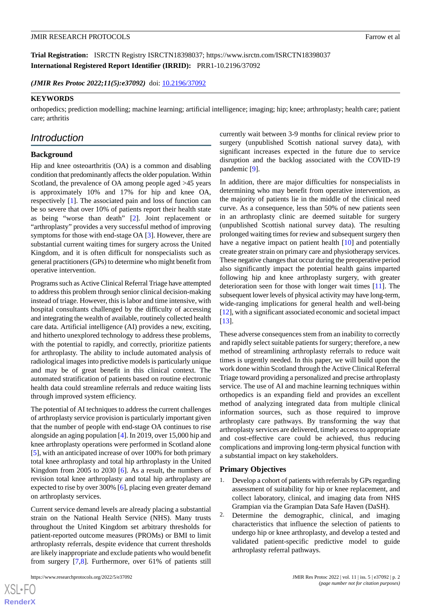**Trial Registration:** ISRCTN Registry ISRCTN18398037; https://www.isrctn.com/ISRCTN18398037 **International Registered Report Identifier (IRRID):** PRR1-10.2196/37092

*(JMIR Res Protoc 2022;11(5):e37092)* doi: [10.2196/37092](http://dx.doi.org/10.2196/37092)

#### **KEYWORDS**

orthopedics; prediction modelling; machine learning; artificial intelligence; imaging; hip; knee; arthroplasty; health care; patient care; arthritis

# *Introduction*

## **Background**

Hip and knee osteoarthritis (OA) is a common and disabling condition that predominantly affects the older population. Within Scotland, the prevalence of OA among people aged >45 years is approximately 10% and 17% for hip and knee OA, respectively [[1\]](#page-5-0). The associated pain and loss of function can be so severe that over 10% of patients report their health state as being "worse than death" [\[2](#page-5-1)]. Joint replacement or "arthroplasty" provides a very successful method of improving symptoms for those with end-stage OA [[3\]](#page-5-2). However, there are substantial current waiting times for surgery across the United Kingdom, and it is often difficult for nonspecialists such as general practitioners (GPs) to determine who might benefit from operative intervention.

Programs such as Active Clinical Referral Triage have attempted to address this problem through senior clinical decision-making instead of triage. However, this is labor and time intensive, with hospital consultants challenged by the difficulty of accessing and integrating the wealth of available, routinely collected health care data. Artificial intelligence (AI) provides a new, exciting, and hitherto unexplored technology to address these problems, with the potential to rapidly, and correctly, prioritize patients for arthroplasty. The ability to include automated analysis of radiological images into predictive models is particularly unique and may be of great benefit in this clinical context. The automated stratification of patients based on routine electronic health data could streamline referrals and reduce waiting lists through improved system efficiency.

The potential of AI techniques to address the current challenges of arthroplasty service provision is particularly important given that the number of people with end-stage OA continues to rise alongside an aging population [\[4](#page-5-3)]. In 2019, over 15,000 hip and knee arthroplasty operations were performed in Scotland alone [[5\]](#page-5-4), with an anticipated increase of over 100% for both primary total knee arthroplasty and total hip arthroplasty in the United Kingdom from 2005 to 2030 [[6\]](#page-5-5). As a result, the numbers of revision total knee arthroplasty and total hip arthroplasty are expected to rise by over 300% [[6\]](#page-5-5), placing even greater demand on arthroplasty services.

Current service demand levels are already placing a substantial strain on the National Health Service (NHS). Many trusts throughout the United Kingdom set arbitrary thresholds for patient-reported outcome measures (PROMs) or BMI to limit arthroplasty referrals, despite evidence that current thresholds are likely inappropriate and exclude patients who would benefit from surgery [[7,](#page-5-6)[8](#page-5-7)]. Furthermore, over 61% of patients still

currently wait between 3-9 months for clinical review prior to surgery (unpublished Scottish national survey data), with significant increases expected in the future due to service disruption and the backlog associated with the COVID-19 pandemic [\[9](#page-5-8)].

In addition, there are major difficulties for nonspecialists in determining who may benefit from operative intervention, as the majority of patients lie in the middle of the clinical need curve. As a consequence, less than 50% of new patients seen in an arthroplasty clinic are deemed suitable for surgery (unpublished Scottish national survey data). The resulting prolonged waiting times for review and subsequent surgery then have a negative impact on patient health [[10\]](#page-5-9) and potentially create greater strain on primary care and physiotherapy services. These negative changes that occur during the preoperative period also significantly impact the potential health gains imparted following hip and knee arthroplasty surgery, with greater deterioration seen for those with longer wait times [[11\]](#page-5-10). The subsequent lower levels of physical activity may have long-term, wide-ranging implications for general health and well-being [[12\]](#page-5-11), with a significant associated economic and societal impact [[13\]](#page-6-0).

These adverse consequences stem from an inability to correctly and rapidly select suitable patients for surgery; therefore, a new method of streamlining arthroplasty referrals to reduce wait times is urgently needed. In this paper, we will build upon the work done within Scotland through the Active Clinical Referral Triage toward providing a personalized and precise arthroplasty service. The use of AI and machine learning techniques within orthopedics is an expanding field and provides an excellent method of analyzing integrated data from multiple clinical information sources, such as those required to improve arthroplasty care pathways. By transforming the way that arthroplasty services are delivered, timely access to appropriate and cost-effective care could be achieved, thus reducing complications and improving long-term physical function with a substantial impact on key stakeholders.

#### **Primary Objectives**

- 1. Develop a cohort of patients with referrals by GPs regarding assessment of suitability for hip or knee replacement, and collect laboratory, clinical, and imaging data from NHS Grampian via the Grampian Data Safe Haven (DaSH).
- 2. Determine the demographic, clinical, and imaging characteristics that influence the selection of patients to undergo hip or knee arthroplasty, and develop a tested and validated patient-specific predictive model to guide arthroplasty referral pathways.

 $XS$ -FO **[RenderX](http://www.renderx.com/)**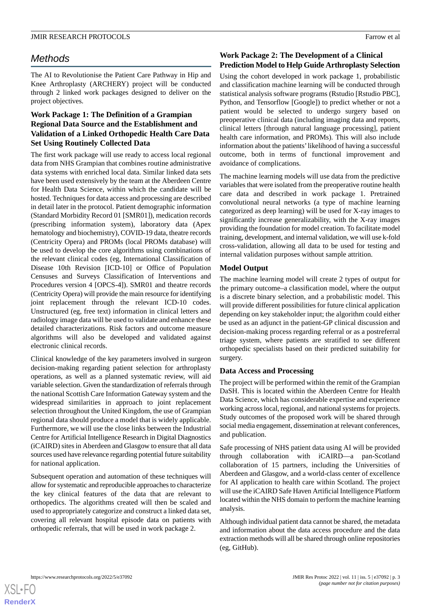# *Methods*

The AI to Revolutionise the Patient Care Pathway in Hip and Knee Arthroplasty (ARCHERY) project will be conducted through 2 linked work packages designed to deliver on the project objectives.

# **Work Package 1: The Definition of a Grampian Regional Data Source and the Establishment and Validation of a Linked Orthopedic Health Care Data Set Using Routinely Collected Data**

The first work package will use ready to access local regional data from NHS Grampian that combines routine administrative data systems with enriched local data. Similar linked data sets have been used extensively by the team at the Aberdeen Centre for Health Data Science, within which the candidate will be hosted. Techniques for data access and processing are described in detail later in the protocol. Patient demographic information (Standard Morbidity Record 01 [SMR01]), medication records (prescribing information system), laboratory data (Apex hematology and biochemistry), COVID-19 data, theatre records (Centricity Opera) and PROMs (local PROMs database) will be used to develop the core algorithms using combinations of the relevant clinical codes (eg, International Classification of Disease 10th Revision [ICD-10] or Office of Population Censuses and Surveys Classification of Interventions and Procedures version 4 [OPCS-4]). SMR01 and theatre records (Centricity Opera) will provide the main resource for identifying joint replacement through the relevant ICD-10 codes. Unstructured (eg, free text) information in clinical letters and radiology image data will be used to validate and enhance these detailed characterizations. Risk factors and outcome measure algorithms will also be developed and validated against electronic clinical records.

Clinical knowledge of the key parameters involved in surgeon decision-making regarding patient selection for arthroplasty operations, as well as a planned systematic review, will aid variable selection. Given the standardization of referrals through the national Scottish Care Information Gateway system and the widespread similarities in approach to joint replacement selection throughout the United Kingdom, the use of Grampian regional data should produce a model that is widely applicable. Furthermore, we will use the close links between the Industrial Centre for Artificial Intelligence Research in Digital Diagnostics (iCAIRD) sites in Aberdeen and Glasgow to ensure that all data sources used have relevance regarding potential future suitability for national application.

Subsequent operation and automation of these techniques will allow for systematic and reproducible approaches to characterize the key clinical features of the data that are relevant to orthopedics. The algorithms created will then be scaled and used to appropriately categorize and construct a linked data set, covering all relevant hospital episode data on patients with orthopedic referrals, that will be used in work package 2.

# **Work Package 2: The Development of a Clinical Prediction Model to Help Guide Arthroplasty Selection**

Using the cohort developed in work package 1, probabilistic and classification machine learning will be conducted through statistical analysis software programs (Rstudio [Rstudio PBC], Python, and Tensorflow [Google]) to predict whether or not a patient would be selected to undergo surgery based on preoperative clinical data (including imaging data and reports, clinical letters [through natural language processing], patient health care information, and PROMs). This will also include information about the patients'likelihood of having a successful outcome, both in terms of functional improvement and avoidance of complications.

The machine learning models will use data from the predictive variables that were isolated from the preoperative routine health care data and described in work package 1. Pretrained convolutional neural networks (a type of machine learning categorized as deep learning) will be used for X-ray images to significantly increase generalizability, with the X-ray images providing the foundation for model creation. To facilitate model training, development, and internal validation, we will use k-fold cross-validation, allowing all data to be used for testing and internal validation purposes without sample attrition.

# **Model Output**

The machine learning model will create 2 types of output for the primary outcome–a classification model, where the output is a discrete binary selection, and a probabilistic model. This will provide different possibilities for future clinical application depending on key stakeholder input; the algorithm could either be used as an adjunct in the patient-GP clinical discussion and decision-making process regarding referral or as a postreferral triage system, where patients are stratified to see different orthopedic specialists based on their predicted suitability for surgery.

# **Data Access and Processing**

The project will be performed within the remit of the Grampian DaSH. This is located within the Aberdeen Centre for Health Data Science, which has considerable expertise and experience working across local, regional, and national systems for projects. Study outcomes of the proposed work will be shared through social media engagement, dissemination at relevant conferences, and publication.

Safe processing of NHS patient data using AI will be provided through collaboration with iCAIRD—a pan-Scotland collaboration of 15 partners, including the Universities of Aberdeen and Glasgow, and a world-class center of excellence for AI application to health care within Scotland. The project will use the iCAIRD Safe Haven Artificial Intelligence Platform located within the NHS domain to perform the machine learning analysis.

Although individual patient data cannot be shared, the metadata and information about the data access procedure and the data extraction methods will all be shared through online repositories (eg, GitHub).

 $XS$ -FO **[RenderX](http://www.renderx.com/)**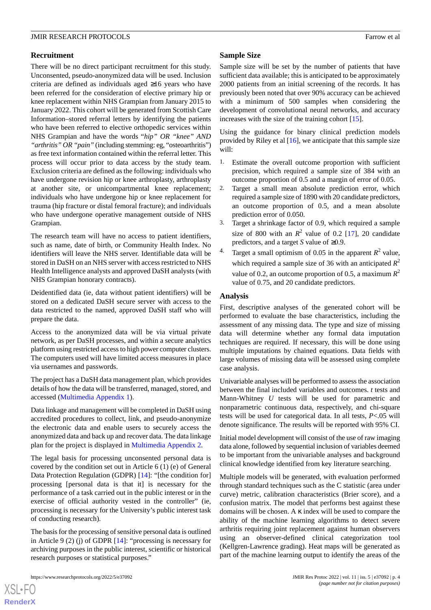# **Recruitment**

There will be no direct participant recruitment for this study. Unconsented, pseudo-anonymized data will be used. Inclusion criteria are defined as individuals aged ≥16 years who have been referred for the consideration of elective primary hip or knee replacement within NHS Grampian from January 2015 to January 2022. This cohort will be generated from Scottish Care Information–stored referral letters by identifying the patients who have been referred to elective orthopedic services within NHS Grampian and have the words "*hip" OR "knee" AND "arthritis" OR "pain"*(including stemming: eg, "osteoarthritis") as free text information contained within the referral letter. This process will occur prior to data access by the study team. Exclusion criteria are defined as the following: individuals who have undergone revision hip or knee arthroplasty, arthroplasty at another site, or unicompartmental knee replacement; individuals who have undergone hip or knee replacement for trauma (hip fracture or distal femoral fracture); and individuals who have undergone operative management outside of NHS Grampian.

The research team will have no access to patient identifiers, such as name, date of birth, or Community Health Index. No identifiers will leave the NHS server. Identifiable data will be stored in DaSH on an NHS server with access restricted to NHS Health Intelligence analysts and approved DaSH analysts (with NHS Grampian honorary contracts).

Deidentified data (ie, data without patient identifiers) will be stored on a dedicated DaSH secure server with access to the data restricted to the named, approved DaSH staff who will prepare the data.

Access to the anonymized data will be via virtual private network, as per DaSH processes, and within a secure analytics platform using restricted access to high power computer clusters. The computers used will have limited access measures in place via usernames and passwords.

The project has a DaSH data management plan, which provides details of how the data will be transferred, managed, stored, and accessed [\(Multimedia Appendix 1](#page-5-12)).

Data linkage and management will be completed in DaSH using accredited procedures to collect, link, and pseudo-anonymize the electronic data and enable users to securely access the anonymized data and back up and recover data. The data linkage plan for the project is displayed in [Multimedia Appendix 2.](#page-5-13)

The legal basis for processing unconsented personal data is covered by the condition set out in Article 6 (1) (e) of General Data Protection Regulation (GDPR) [\[14](#page-6-1)]: "[the condition for] processing [personal data is that it] is necessary for the performance of a task carried out in the public interest or in the exercise of official authority vested in the controller" (ie, processing is necessary for the University's public interest task of conducting research).

The basis for the processing of sensitive personal data is outlined in Article 9 (2) (j) of GDPR [[14\]](#page-6-1): "processing is necessary for archiving purposes in the public interest, scientific or historical research purposes or statistical purposes."

 $XS$  • FO **[RenderX](http://www.renderx.com/)**

#### **Sample Size**

Sample size will be set by the number of patients that have sufficient data available; this is anticipated to be approximately 2000 patients from an initial screening of the records. It has previously been noted that over 90% accuracy can be achieved with a minimum of 500 samples when considering the development of convolutional neural networks, and accuracy increases with the size of the training cohort [\[15](#page-6-2)].

Using the guidance for binary clinical prediction models provided by Riley et al [[16\]](#page-6-3), we anticipate that this sample size will:

- 1. Estimate the overall outcome proportion with sufficient precision, which required a sample size of 384 with an outcome proportion of 0.5 and a margin of error of 0.05.
- 2. Target a small mean absolute prediction error, which required a sample size of 1890 with 20 candidate predictors, an outcome proportion of 0.5, and a mean absolute prediction error of 0.050.
- 3. Target a shrinkage factor of 0.9, which required a sample size of 800 with an  $R^2$  value of 0.2 [\[17](#page-6-4)], 20 candidate predictors, and a target *S* value of ≥0.9.
- <sup>4</sup> Target a small optimism of 0.05 in the apparent  $R^2$  value, which required a sample size of 36 with an anticipated  $R^2$ value of 0.2, an outcome proportion of 0.5, a maximum  $R^2$ value of 0.75, and 20 candidate predictors.

## **Analysis**

First, descriptive analyses of the generated cohort will be performed to evaluate the base characteristics, including the assessment of any missing data. The type and size of missing data will determine whether any formal data imputation techniques are required. If necessary, this will be done using multiple imputations by chained equations. Data fields with large volumes of missing data will be assessed using complete case analysis.

Univariable analyses will be performed to assess the association between the final included variables and outcomes. *t* tests and Mann-Whitney *U* tests will be used for parametric and nonparametric continuous data, respectively, and chi-square tests will be used for categorical data. In all tests, *P*<.05 will denote significance. The results will be reported with 95% CI.

Initial model development will consist of the use of raw imaging data alone, followed by sequential inclusion of variables deemed to be important from the univariable analyses and background clinical knowledge identified from key literature searching.

Multiple models will be generated, with evaluation performed through standard techniques such as the C statistic (area under curve) metric, calibration characteristics (Brier score), and a confusion matrix. The model that performs best against these domains will be chosen. A κ index will be used to compare the ability of the machine learning algorithms to detect severe arthritis requiring joint replacement against human observers using an observer-defined clinical categorization tool (Kellgren-Lawrence grading). Heat maps will be generated as part of the machine learning output to identify the areas of the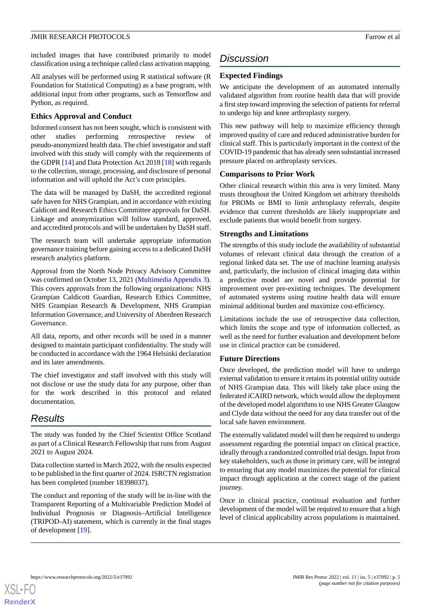included images that have contributed primarily to model classification using a technique called class activation mapping.

All analyses will be performed using R statistical software (R Foundation for Statistical Computing) as a base program, with additional input from other programs, such as Tensorflow and Python, as required.

## **Ethics Approval and Conduct**

Informed consent has not been sought, which is consistent with other studies performing retrospective review of pseudo-anonymized health data. The chief investigator and staff involved with this study will comply with the requirements of the GDPR [[14\]](#page-6-1) and Data Protection Act 2018 [\[18](#page-6-5)] with regards to the collection, storage, processing, and disclosure of personal information and will uphold the Act's core principles.

The data will be managed by DaSH, the accredited regional safe haven for NHS Grampian, and in accordance with existing Caldicott and Research Ethics Committee approvals for DaSH. Linkage and anonymization will follow standard, approved, and accredited protocols and will be undertaken by DaSH staff.

The research team will undertake appropriate information governance training before gaining access to a dedicated DaSH research analytics platform.

Approval from the North Node Privacy Advisory Committee was confirmed on October 13, 2021 [\(Multimedia Appendix 3\)](#page-5-14). This covers approvals from the following organizations: NHS Grampian Caldicott Guardian, Research Ethics Committee, NHS Grampian Research & Development, NHS Grampian Information Governance, and University of Aberdeen Research Governance.

All data, reports, and other records will be used in a manner designed to maintain participant confidentiality. The study will be conducted in accordance with the 1964 Helsinki declaration and its later amendments.

The chief investigator and staff involved with this study will not disclose or use the study data for any purpose, other than for the work described in this protocol and related documentation.

# *Results*

The study was funded by the Chief Scientist Office Scotland as part of a Clinical Research Fellowship that runs from August 2021 to August 2024.

Data collection started in March 2022, with the results expected to be published in the first quarter of 2024. ISRCTN registration has been completed (number 18398037).

The conduct and reporting of the study will be in-line with the Transparent Reporting of a Multivariable Prediction Model of Individual Prognosis or Diagnosis–Artificial Intelligence (TRIPOD-AI) statement, which is currently in the final stages of development [\[19](#page-6-6)].

# *Discussion*

# **Expected Findings**

We anticipate the development of an automated internally validated algorithm from routine health data that will provide a first step toward improving the selection of patients for referral to undergo hip and knee arthroplasty surgery.

This new pathway will help to maximize efficiency through improved quality of care and reduced administrative burden for clinical staff. This is particularly important in the context of the COVID-19 pandemic that has already seen substantial increased pressure placed on arthroplasty services.

#### **Comparisons to Prior Work**

Other clinical research within this area is very limited. Many trusts throughout the United Kingdom set arbitrary thresholds for PROMs or BMI to limit arthroplasty referrals, despite evidence that current thresholds are likely inappropriate and exclude patients that would benefit from surgery.

## **Strengths and Limitations**

The strengths of this study include the availability of substantial volumes of relevant clinical data through the creation of a regional linked data set. The use of machine learning analysis and, particularly, the inclusion of clinical imaging data within a predictive model are novel and provide potential for improvement over pre-existing techniques. The development of automated systems using routine health data will ensure minimal additional burden and maximize cost-efficiency.

Limitations include the use of retrospective data collection, which limits the scope and type of information collected, as well as the need for further evaluation and development before use in clinical practice can be considered.

#### **Future Directions**

Once developed, the prediction model will have to undergo external validation to ensure it retains its potential utility outside of NHS Grampian data. This will likely take place using the federated iCAIRD network, which would allow the deployment of the developed model algorithms to use NHS Greater Glasgow and Clyde data without the need for any data transfer out of the local safe haven environment.

The externally validated model will then be required to undergo assessment regarding the potential impact on clinical practice, ideally through a randomized controlled trial design. Input from key stakeholders, such as those in primary care, will be integral to ensuring that any model maximizes the potential for clinical impact through application at the correct stage of the patient journey.

Once in clinical practice, continual evaluation and further development of the model will be required to ensure that a high level of clinical applicability across populations is maintained.



**[RenderX](http://www.renderx.com/)**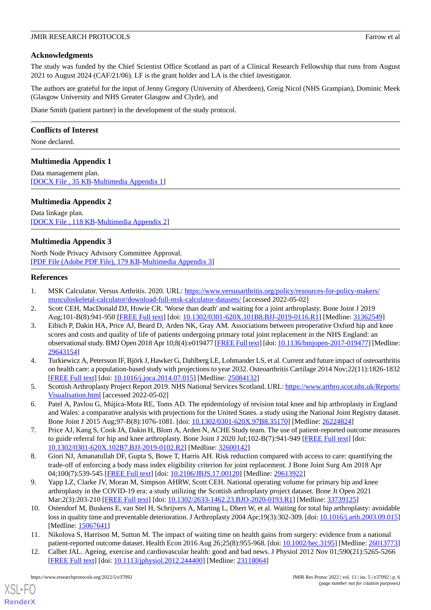# **Acknowledgments**

The study was funded by the Chief Scientist Office Scotland as part of a Clinical Research Fellowship that runs from August 2021 to August 2024 (CAF/21/06). LF is the grant holder and LA is the chief investigator.

The authors are grateful for the input of Jenny Gregory (University of Aberdeen), Greig Nicol (NHS Grampian), Dominic Meek (Glasgow University and NHS Greater Glasgow and Clyde), and

Diane Smith (patient partner) in the development of the study protocol.

# **Conflicts of Interest**

<span id="page-5-12"></span>None declared.

# **Multimedia Appendix 1**

<span id="page-5-13"></span>Data management plan. [[DOCX File , 35 KB](https://jmir.org/api/download?alt_name=resprot_v11i5e37092_app1.docx&filename=8da8ce79f62ed1f7ec62bfa319f07f46.docx)-[Multimedia Appendix 1\]](https://jmir.org/api/download?alt_name=resprot_v11i5e37092_app1.docx&filename=8da8ce79f62ed1f7ec62bfa319f07f46.docx)

# **Multimedia Appendix 2**

<span id="page-5-14"></span>Data linkage plan. [[DOCX File , 118 KB-Multimedia Appendix 2\]](https://jmir.org/api/download?alt_name=resprot_v11i5e37092_app2.docx&filename=19337faba2239599d1832beefe437561.docx)

# **Multimedia Appendix 3**

<span id="page-5-0"></span>North Node Privacy Advisory Committee Approval. [[PDF File \(Adobe PDF File\), 179 KB](https://jmir.org/api/download?alt_name=resprot_v11i5e37092_app3.pdf&filename=8199f6a4aefc7aac3e846f599d7ff531.pdf)-[Multimedia Appendix 3\]](https://jmir.org/api/download?alt_name=resprot_v11i5e37092_app3.pdf&filename=8199f6a4aefc7aac3e846f599d7ff531.pdf)

## <span id="page-5-1"></span>**References**

- <span id="page-5-2"></span>1. MSK Calculator. Versus Arthritis. 2020. URL: [https://www.versusarthritis.org/policy/resources-for-policy-makers/](https://www.versusarthritis.org/policy/resources-for-policy-makers/musculoskeletal-calculator/download-full-msk-calculator-datasets/) [musculoskeletal-calculator/download-full-msk-calculator-datasets/](https://www.versusarthritis.org/policy/resources-for-policy-makers/musculoskeletal-calculator/download-full-msk-calculator-datasets/) [accessed 2022-05-02]
- 2. Scott CEH, MacDonald DJ, Howie CR. 'Worse than death' and waiting for a joint arthroplasty. Bone Joint J 2019 Aug;101-B(8):941-950 [\[FREE Full text\]](http://europepmc.org/abstract/MED/31362549) [doi: [10.1302/0301-620X.101B8.BJJ-2019-0116.R1](http://dx.doi.org/10.1302/0301-620X.101B8.BJJ-2019-0116.R1)] [Medline: [31362549](http://www.ncbi.nlm.nih.gov/entrez/query.fcgi?cmd=Retrieve&db=PubMed&list_uids=31362549&dopt=Abstract)]
- <span id="page-5-3"></span>3. Eibich P, Dakin HA, Price AJ, Beard D, Arden NK, Gray AM. Associations between preoperative Oxford hip and knee scores and costs and quality of life of patients undergoing primary total joint replacement in the NHS England: an observational study. BMJ Open 2018 Apr 10;8(4):e019477 [\[FREE Full text](https://bmjopen.bmj.com/lookup/pmidlookup?view=long&pmid=29643154)] [doi: [10.1136/bmjopen-2017-019477\]](http://dx.doi.org/10.1136/bmjopen-2017-019477) [Medline: [29643154](http://www.ncbi.nlm.nih.gov/entrez/query.fcgi?cmd=Retrieve&db=PubMed&list_uids=29643154&dopt=Abstract)]
- <span id="page-5-5"></span><span id="page-5-4"></span>4. Turkiewicz A, Petersson IF, Björk J, Hawker G, Dahlberg LE, Lohmander LS, et al. Current and future impact of osteoarthritis on health care: a population-based study with projections to year 2032. Osteoarthritis Cartilage 2014 Nov;22(11):1826-1832 [[FREE Full text](https://linkinghub.elsevier.com/retrieve/pii/S1063-4584(14)01188-1)] [doi: [10.1016/j.joca.2014.07.015](http://dx.doi.org/10.1016/j.joca.2014.07.015)] [Medline: [25084132\]](http://www.ncbi.nlm.nih.gov/entrez/query.fcgi?cmd=Retrieve&db=PubMed&list_uids=25084132&dopt=Abstract)
- <span id="page-5-6"></span>5. Scottish Arthroplasty Project Report 2019. NHS National Services Scotland. URL: [https://www.arthro.scot.nhs.uk/Reports/](https://www.arthro.scot.nhs.uk/Reports/Visualisation.html) [Visualisation.html](https://www.arthro.scot.nhs.uk/Reports/Visualisation.html) [accessed 2022-05-02]
- <span id="page-5-7"></span>6. Patel A, Pavlou G, Mújica-Mota RE, Toms AD. The epidemiology of revision total knee and hip arthroplasty in England and Wales: a comparative analysis with projections for the United States. a study using the National Joint Registry dataset. Bone Joint J 2015 Aug;97-B(8):1076-1081. [doi: [10.1302/0301-620X.97B8.35170\]](http://dx.doi.org/10.1302/0301-620X.97B8.35170) [Medline: [26224824](http://www.ncbi.nlm.nih.gov/entrez/query.fcgi?cmd=Retrieve&db=PubMed&list_uids=26224824&dopt=Abstract)]
- <span id="page-5-8"></span>7. Price AJ, Kang S, Cook JA, Dakin H, Blom A, Arden N, ACHE Study team. The use of patient-reported outcome measures to guide referral for hip and knee arthroplasty. Bone Joint J 2020 Jul;102-B(7):941-949 [[FREE Full text](http://europepmc.org/abstract/MED/32600142)] [doi: [10.1302/0301-620X.102B7.BJJ-2019-0102.R2](http://dx.doi.org/10.1302/0301-620X.102B7.BJJ-2019-0102.R2)] [Medline: [32600142](http://www.ncbi.nlm.nih.gov/entrez/query.fcgi?cmd=Retrieve&db=PubMed&list_uids=32600142&dopt=Abstract)]
- <span id="page-5-9"></span>8. Giori NJ, Amanatullah DF, Gupta S, Bowe T, Harris AH. Risk reduction compared with access to care: quantifying the trade-off of enforcing a body mass index eligibility criterion for joint replacement. J Bone Joint Surg Am 2018 Apr 04;100(7):539-545 [[FREE Full text](http://europepmc.org/abstract/MED/29613922)] [doi: [10.2106/JBJS.17.00120\]](http://dx.doi.org/10.2106/JBJS.17.00120) [Medline: [29613922\]](http://www.ncbi.nlm.nih.gov/entrez/query.fcgi?cmd=Retrieve&db=PubMed&list_uids=29613922&dopt=Abstract)
- <span id="page-5-10"></span>9. Yapp LZ, Clarke JV, Moran M, Simpson AHRW, Scott CEH. National operating volume for primary hip and knee arthroplasty in the COVID-19 era: a study utilizing the Scottish arthroplasty project dataset. Bone Jt Open 2021 Mar;2(3):203-210 [[FREE Full text\]](http://europepmc.org/abstract/MED/33739125) [doi: [10.1302/2633-1462.23.BJO-2020-0193.R1](http://dx.doi.org/10.1302/2633-1462.23.BJO-2020-0193.R1)] [Medline: [33739125](http://www.ncbi.nlm.nih.gov/entrez/query.fcgi?cmd=Retrieve&db=PubMed&list_uids=33739125&dopt=Abstract)]
- <span id="page-5-11"></span>10. Ostendorf M, Buskens E, van Stel H, Schrijvers A, Marting L, Dhert W, et al. Waiting for total hip arthroplasty: avoidable loss in quality time and preventable deterioration. J Arthroplasty 2004 Apr;19(3):302-309. [doi: [10.1016/j.arth.2003.09.015\]](http://dx.doi.org/10.1016/j.arth.2003.09.015) [Medline: [15067641](http://www.ncbi.nlm.nih.gov/entrez/query.fcgi?cmd=Retrieve&db=PubMed&list_uids=15067641&dopt=Abstract)]
- 11. Nikolova S, Harrison M, Sutton M. The impact of waiting time on health gains from surgery: evidence from a national patient-reported outcome dataset. Health Econ 2016 Aug 26;25(8):955-968. [doi: [10.1002/hec.3195](http://dx.doi.org/10.1002/hec.3195)] [Medline: [26013773](http://www.ncbi.nlm.nih.gov/entrez/query.fcgi?cmd=Retrieve&db=PubMed&list_uids=26013773&dopt=Abstract)]
- 12. Calbet JAL. Ageing, exercise and cardiovascular health: good and bad news. J Physiol 2012 Nov 01;590(21):5265-5266 [[FREE Full text](https://doi.org/10.1113/jphysiol.2012.244400)] [doi: [10.1113/jphysiol.2012.244400\]](http://dx.doi.org/10.1113/jphysiol.2012.244400) [Medline: [23118064\]](http://www.ncbi.nlm.nih.gov/entrez/query.fcgi?cmd=Retrieve&db=PubMed&list_uids=23118064&dopt=Abstract)

[XSL](http://www.w3.org/Style/XSL)•FO **[RenderX](http://www.renderx.com/)**